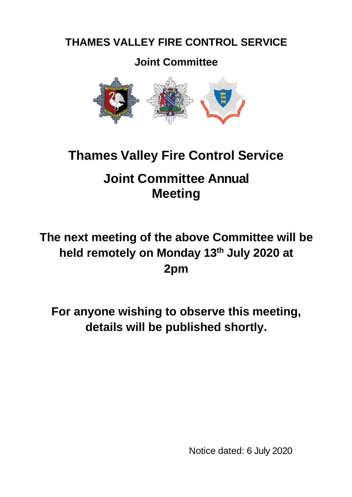# **THAMES VALLEY FIRE CONTROL SERVICE**

# **Joint Committee**



# **Thames Valley Fire Control Service**

# **Joint Committee Annual Meeting**

# **The next meeting of the above Committee will be held remotely on Monday 13th July 2020 at 2pm**

**For anyone wishing to observe this meeting, details will be published shortly.**

Notice dated: 6 July 2020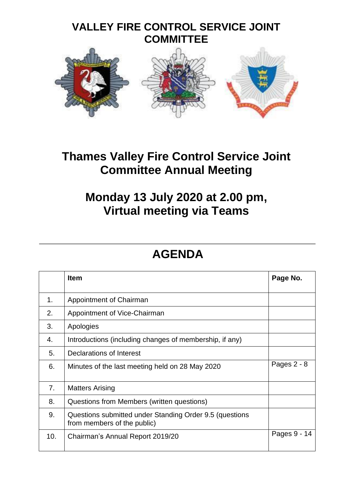

# **Thames Valley Fire Control Service Joint Committee Annual Meeting**

# **Monday 13 July 2020 at 2.00 pm, Virtual meeting via Teams**

# **AGENDA**

|     | <b>Item</b>                                                                            | Page No.      |
|-----|----------------------------------------------------------------------------------------|---------------|
| 1.  | Appointment of Chairman                                                                |               |
| 2.  | Appointment of Vice-Chairman                                                           |               |
| 3.  | Apologies                                                                              |               |
| 4.  | Introductions (including changes of membership, if any)                                |               |
| 5.  | Declarations of Interest                                                               |               |
| 6.  | Minutes of the last meeting held on 28 May 2020                                        | Pages $2 - 8$ |
| 7.  | <b>Matters Arising</b>                                                                 |               |
| 8.  | Questions from Members (written questions)                                             |               |
| 9.  | Questions submitted under Standing Order 9.5 (questions<br>from members of the public) |               |
| 10. | Chairman's Annual Report 2019/20                                                       | Pages 9 - 14  |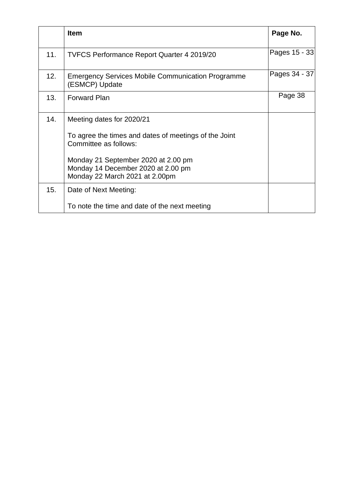|     | <b>Item</b>                                                                                                 | Page No.      |
|-----|-------------------------------------------------------------------------------------------------------------|---------------|
| 11. | <b>TVFCS Performance Report Quarter 4 2019/20</b>                                                           | Pages 15 - 33 |
| 12. | <b>Emergency Services Mobile Communication Programme</b><br>(ESMCP) Update                                  | Pages 34 - 37 |
| 13. | <b>Forward Plan</b>                                                                                         | Page 38       |
| 14. | Meeting dates for 2020/21                                                                                   |               |
|     | To agree the times and dates of meetings of the Joint<br>Committee as follows:                              |               |
|     | Monday 21 September 2020 at 2.00 pm<br>Monday 14 December 2020 at 2.00 pm<br>Monday 22 March 2021 at 2.00pm |               |
| 15. | Date of Next Meeting:                                                                                       |               |
|     | To note the time and date of the next meeting                                                               |               |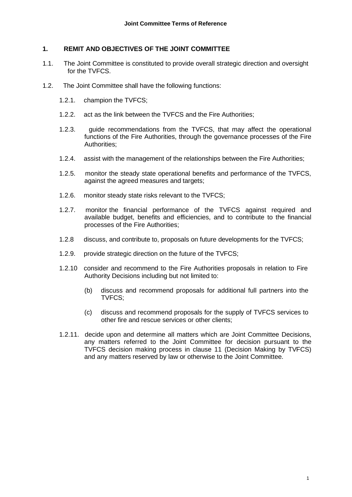#### **1. REMIT AND OBJECTIVES OF THE JOINT COMMITTEE**

- 1.1. The Joint Committee is constituted to provide overall strategic direction and oversight for the TVFCS.
- 1.2. The Joint Committee shall have the following functions:
	- 1.2.1. champion the TVFCS;
	- 1.2.2. act as the link between the TVFCS and the Fire Authorities;
	- 1.2.3. guide recommendations from the TVFCS, that may affect the operational functions of the Fire Authorities, through the governance processes of the Fire Authorities;
	- 1.2.4. assist with the management of the relationships between the Fire Authorities;
	- 1.2.5. monitor the steady state operational benefits and performance of the TVFCS, against the agreed measures and targets;
	- 1.2.6. monitor steady state risks relevant to the TVFCS;
	- 1.2.7. monitor the financial performance of the TVFCS against required and available budget, benefits and efficiencies, and to contribute to the financial processes of the Fire Authorities;
	- 1.2.8 discuss, and contribute to, proposals on future developments for the TVFCS;
	- 1.2.9. provide strategic direction on the future of the TVFCS;
	- 1.2.10 consider and recommend to the Fire Authorities proposals in relation to Fire Authority Decisions including but not limited to:
		- (b) discuss and recommend proposals for additional full partners into the TVFCS;
		- (c) discuss and recommend proposals for the supply of TVFCS services to other fire and rescue services or other clients;
	- 1.2.11. decide upon and determine all matters which are Joint Committee Decisions, any matters referred to the Joint Committee for decision pursuant to the TVFCS decision making process in clause 11 (Decision Making by TVFCS) and any matters reserved by law or otherwise to the Joint Committee.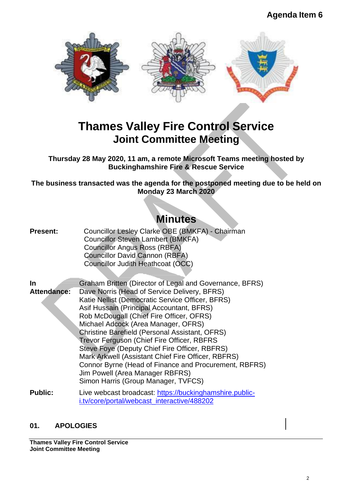

# **Thames Valley Fire Control Service Joint Committee Meeting**

**Thursday 28 May 2020, 11 am, a remote Microsoft Teams meeting hosted by Buckinghamshire Fire & Rescue Service**

**The business transacted was the agenda for the postponed meeting due to be held on Monday 23 March 2020**

# **Minutes**

**Present:** Councillor Lesley Clarke OBE (BMKFA) - Chairman Councillor Steven Lambert (BMKFA) Councillor Angus Ross (RBFA) Councillor David Cannon (RBFA) Councillor Judith Heathcoat (OCC)

**In Attendance:** Graham Britten (Director of Legal and Governance, BFRS) Dave Norris (Head of Service Delivery, BFRS) Katie Nellist (Democratic Service Officer, BFRS) Asif Hussain (Principal Accountant, BFRS) Rob McDougall (Chief Fire Officer, OFRS) Michael Adcock (Area Manager, OFRS) Christine Barefield (Personal Assistant, OFRS) Trevor Ferguson (Chief Fire Officer, RBFRS Steve Foye (Deputy Chief Fire Officer, RBFRS) Mark Arkwell (Assistant Chief Fire Officer, RBFRS) Connor Byrne (Head of Finance and Procurement, RBFRS) Jim Powell (Area Manager RBFRS) Simon Harris (Group Manager, TVFCS) **Public:** Live webcast broadcast: [https://buckinghamshire.public-](https://buckinghamshire.public-i.tv/core/portal/webcast_interactive/488202)

[i.tv/core/portal/webcast\\_interactive/488202](https://buckinghamshire.public-i.tv/core/portal/webcast_interactive/488202)

### **01. APOLOGIES**

**Thames Valley Fire Control Service Joint Committee Meeting**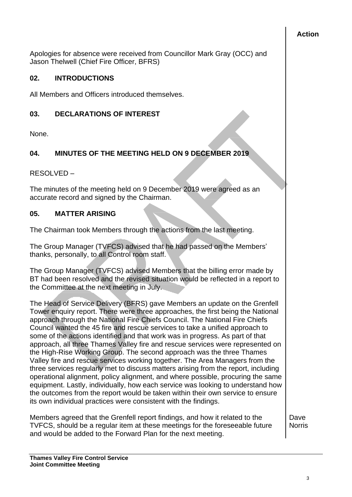### **Action**

Apologies for absence were received from Councillor Mark Gray (OCC) and Jason Thelwell (Chief Fire Officer, BFRS)

# **02. INTRODUCTIONS**

All Members and Officers introduced themselves.

# **03. DECLARATIONS OF INTEREST**

None.

# **04. MINUTES OF THE MEETING HELD ON 9 DECEMBER 2019**

RESOLVED –

The minutes of the meeting held on 9 December 2019 were agreed as an accurate record and signed by the Chairman.

## **05. MATTER ARISING**

The Chairman took Members through the actions from the last meeting.

The Group Manager (TVFCS) advised that he had passed on the Members' thanks, personally, to all Control room staff.

The Group Manager (TVFCS) advised Members that the billing error made by BT had been resolved and the revised situation would be reflected in a report to the Committee at the next meeting in July.

The Head of Service Delivery (BFRS) gave Members an update on the Grenfell Tower enquiry report. There were three approaches, the first being the National approach through the National Fire Chiefs Council. The National Fire Chiefs Council wanted the 45 fire and rescue services to take a unified approach to some of the actions identified and that work was in progress. As part of that approach, all three Thames Valley fire and rescue services were represented on the High-Rise Working Group. The second approach was the three Thames Valley fire and rescue services working together. The Area Managers from the three services regularly met to discuss matters arising from the report, including operational alignment, policy alignment, and where possible, procuring the same equipment. Lastly, individually, how each service was looking to understand how the outcomes from the report would be taken within their own service to ensure its own individual practices were consistent with the findings.

Members agreed that the Grenfell report findings, and how it related to the TVFCS, should be a regular item at these meetings for the foreseeable future and would be added to the Forward Plan for the next meeting.

**Dave Norris**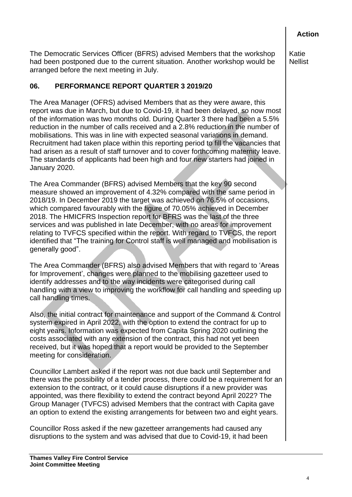**Action**

The Democratic Services Officer (BFRS) advised Members that the workshop had been postponed due to the current situation. Another workshop would be arranged before the next meeting in July.

# **06. PERFORMANCE REPORT QUARTER 3 2019/20**

The Area Manager (OFRS) advised Members that as they were aware, this report was due in March, but due to Covid-19, it had been delayed, so now most of the information was two months old. During Quarter 3 there had been a 5.5% reduction in the number of calls received and a 2.8% reduction in the number of mobilisations. This was in line with expected seasonal variations in demand. Recruitment had taken place within this reporting period to fill the vacancies that had arisen as a result of staff turnover and to cover forthcoming maternity leave. The standards of applicants had been high and four new starters had joined in January 2020.

The Area Commander (BFRS) advised Members that the key 90 second measure showed an improvement of 4.32% compared with the same period in 2018/19. In December 2019 the target was achieved on 76.5% of occasions, which compared favourably with the figure of 70.05% achieved in December 2018. The HMICFRS Inspection report for BFRS was the last of the three services and was published in late December, with no areas for improvement relating to TVFCS specified within the report. With regard to TVFCS, the report identified that "The training for Control staff is well managed and mobilisation is generally good".

The Area Commander (BFRS) also advised Members that with regard to 'Areas for Improvement', changes were planned to the mobilising gazetteer used to identify addresses and to the way incidents were categorised during call handling with a view to improving the workflow for call handling and speeding up call handling times.

Also, the initial contract for maintenance and support of the Command & Control system expired in April 2022, with the option to extend the contract for up to eight years. Information was expected from Capita Spring 2020 outlining the costs associated with any extension of the contract, this had not yet been received, but it was hoped that a report would be provided to the September meeting for consideration.

Councillor Lambert asked if the report was not due back until September and there was the possibility of a tender process, there could be a requirement for an extension to the contract, or it could cause disruptions if a new provider was appointed, was there flexibility to extend the contract beyond April 2022? The Group Manager (TVFCS) advised Members that the contract with Capita gave an option to extend the existing arrangements for between two and eight years.

Councillor Ross asked if the new gazetteer arrangements had caused any disruptions to the system and was advised that due to Covid-19, it had been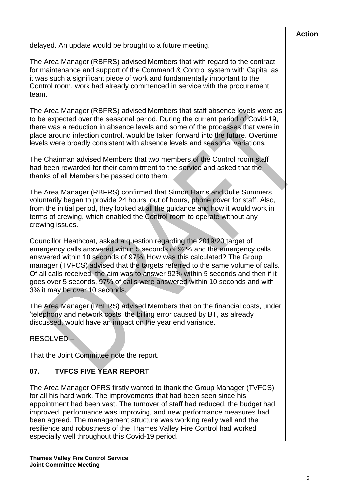delayed. An update would be brought to a future meeting.

The Area Manager (RBFRS) advised Members that with regard to the contract for maintenance and support of the Command & Control system with Capita, as it was such a significant piece of work and fundamentally important to the Control room, work had already commenced in service with the procurement team.

The Area Manager (RBFRS) advised Members that staff absence levels were as to be expected over the seasonal period. During the current period of Covid-19, there was a reduction in absence levels and some of the processes that were in place around infection control, would be taken forward into the future. Overtime levels were broadly consistent with absence levels and seasonal variations.

The Chairman advised Members that two members of the Control room staff had been rewarded for their commitment to the service and asked that the thanks of all Members be passed onto them.

The Area Manager (RBFRS) confirmed that Simon Harris and Julie Summers voluntarily began to provide 24 hours, out of hours, phone cover for staff. Also, from the initial period, they looked at all the guidance and how it would work in terms of crewing, which enabled the Control room to operate without any crewing issues.

Councillor Heathcoat, asked a question regarding the 2019/20 target of emergency calls answered within 5 seconds of 92% and the emergency calls answered within 10 seconds of 97%. How was this calculated? The Group manager (TVFCS) advised that the targets referred to the same volume of calls. Of all calls received, the aim was to answer 92% within 5 seconds and then if it goes over 5 seconds, 97% of calls were answered within 10 seconds and with 3% it may be over 10 seconds.

The Area Manager (RBFRS) advised Members that on the financial costs, under 'telephony and network costs' the billing error caused by BT, as already discussed, would have an impact on the year end variance.

RESOLVED –

That the Joint Committee note the report.

# **07. TVFCS FIVE YEAR REPORT**

The Area Manager OFRS firstly wanted to thank the Group Manager (TVFCS) for all his hard work. The improvements that had been seen since his appointment had been vast. The turnover of staff had reduced, the budget had improved, performance was improving, and new performance measures had been agreed. The management structure was working really well and the resilience and robustness of the Thames Valley Fire Control had worked especially well throughout this Covid-19 period.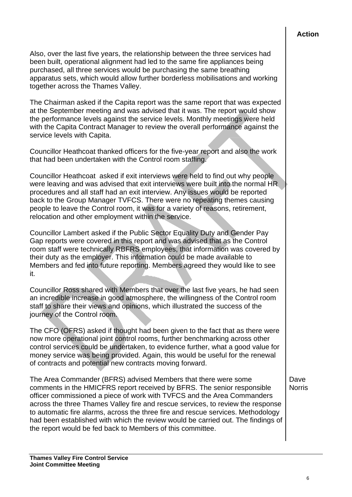Also, over the last five years, the relationship between the three services had been built, operational alignment had led to the same fire appliances being purchased, all three services would be purchasing the same breathing apparatus sets, which would allow further borderless mobilisations and working together across the Thames Valley.

The Chairman asked if the Capita report was the same report that was expected at the September meeting and was advised that it was. The report would show the performance levels against the service levels. Monthly meetings were held with the Capita Contract Manager to review the overall performance against the service levels with Capita.

Councillor Heathcoat thanked officers for the five-year report and also the work that had been undertaken with the Control room staffing.

Councillor Heathcoat asked if exit interviews were held to find out why people were leaving and was advised that exit interviews were built into the normal HR procedures and all staff had an exit interview. Any issues would be reported back to the Group Manager TVFCS. There were no repeating themes causing people to leave the Control room, it was for a variety of reasons, retirement, relocation and other employment within the service.

Councillor Lambert asked if the Public Sector Equality Duty and Gender Pay Gap reports were covered in this report and was advised that as the Control room staff were technically RBFRS employees, that information was covered by their duty as the employer. This information could be made available to Members and fed into future reporting. Members agreed they would like to see it.

Councillor Ross shared with Members that over the last five years, he had seen an incredible increase in good atmosphere, the willingness of the Control room staff to share their views and opinions, which illustrated the success of the journey of the Control room.

The CFO (OFRS) asked if thought had been given to the fact that as there were now more operational joint control rooms, further benchmarking across other control services could be undertaken, to evidence further, what a good value for money service was being provided. Again, this would be useful for the renewal of contracts and potential new contracts moving forward.

The Area Commander (BFRS) advised Members that there were some comments in the HMICFRS report received by BFRS. The senior responsible officer commissioned a piece of work with TVFCS and the Area Commanders across the three Thames Valley fire and rescue services, to review the response to automatic fire alarms, across the three fire and rescue services. Methodology had been established with which the review would be carried out. The findings of the report would be fed back to Members of this committee.

Dave **Norris**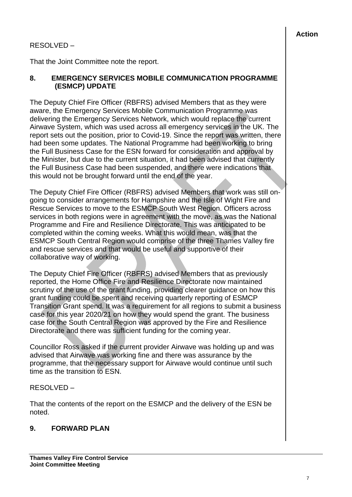# RESOLVED –

That the Joint Committee note the report.

#### **8. EMERGENCY SERVICES MOBILE COMMUNICATION PROGRAMME (ESMCP) UPDATE**

The Deputy Chief Fire Officer (RBFRS) advised Members that as they were aware, the Emergency Services Mobile Communication Programme was delivering the Emergency Services Network, which would replace the current Airwave System, which was used across all emergency services in the UK. The report sets out the position, prior to Covid-19. Since the report was written, there had been some updates. The National Programme had been working to bring the Full Business Case for the ESN forward for consideration and approval by the Minister, but due to the current situation, it had been advised that currently the Full Business Case had been suspended, and there were indications that this would not be brought forward until the end of the year.

The Deputy Chief Fire Officer (RBFRS) advised Members that work was still ongoing to consider arrangements for Hampshire and the Isle of Wight Fire and Rescue Services to move to the ESMCP South West Region. Officers across services in both regions were in agreement with the move, as was the National Programme and Fire and Resilience Directorate. This was anticipated to be completed within the coming weeks. What this would mean, was that the ESMCP South Central Region would comprise of the three Thames Valley fire and rescue services and that would be useful and supportive of their collaborative way of working.

The Deputy Chief Fire Officer (RBFRS) advised Members that as previously reported, the Home Office Fire and Resilience Directorate now maintained scrutiny of the use of the grant funding, providing clearer guidance on how this grant funding could be spent and receiving quarterly reporting of ESMCP Transition Grant spend. It was a requirement for all regions to submit a business case for this year 2020/21 on how they would spend the grant. The business case for the South Central Region was approved by the Fire and Resilience Directorate and there was sufficient funding for the coming year.

Councillor Ross asked if the current provider Airwave was holding up and was advised that Airwave was working fine and there was assurance by the programme, that the necessary support for Airwave would continue until such time as the transition to ESN.

### RESOLVED –

That the contents of the report on the ESMCP and the delivery of the ESN be noted.

### **9. FORWARD PLAN**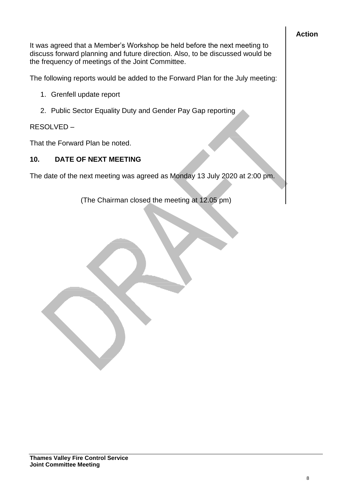# **Action**

It was agreed that a Member's Workshop be held before the next meeting to discuss forward planning and future direction. Also, to be discussed would be the frequency of meetings of the Joint Committee.

The following reports would be added to the Forward Plan for the July meeting:

- 1. Grenfell update report
- 2. Public Sector Equality Duty and Gender Pay Gap reporting

## RESOLVED –

That the Forward Plan be noted.

## **10. DATE OF NEXT MEETING**

The date of the next meeting was agreed as Monday 13 July 2020 at 2:00 pm.

(The Chairman closed the meeting at 12.05 pm)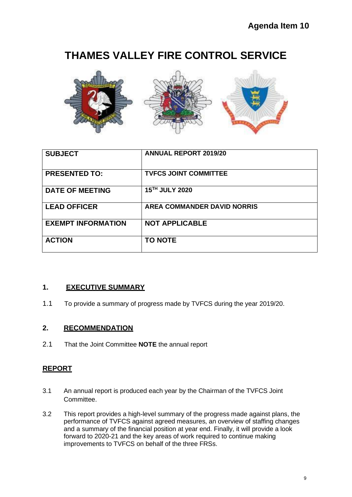# **THAMES VALLEY FIRE CONTROL SERVICE**



| <b>SUBJECT</b>            | <b>ANNUAL REPORT 2019/20</b>       |
|---------------------------|------------------------------------|
| <b>PRESENTED TO:</b>      | <b>TVFCS JOINT COMMITTEE</b>       |
| <b>DATE OF MEETING</b>    | 15TH JULY 2020                     |
| <b>LEAD OFFICER</b>       | <b>AREA COMMANDER DAVID NORRIS</b> |
| <b>EXEMPT INFORMATION</b> | <b>NOT APPLICABLE</b>              |
| <b>ACTION</b>             | <b>TO NOTE</b>                     |

### **1. EXECUTIVE SUMMARY**

1.1 To provide a summary of progress made by TVFCS during the year 2019/20.

### **2. RECOMMENDATION**

2.1 That the Joint Committee **NOTE** the annual report

### **REPORT**

- 3.1 An annual report is produced each year by the Chairman of the TVFCS Joint Committee.
- 3.2 This report provides a high-level summary of the progress made against plans, the performance of TVFCS against agreed measures, an overview of staffing changes and a summary of the financial position at year end. Finally, it will provide a look forward to 2020-21 and the key areas of work required to continue making improvements to TVFCS on behalf of the three FRSs.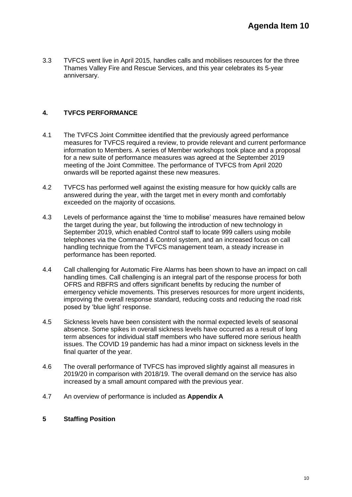3.3 TVFCS went live in April 2015, handles calls and mobilises resources for the three Thames Valley Fire and Rescue Services, and this year celebrates its 5-year anniversary.

#### **4. TVFCS PERFORMANCE**

- 4.1 The TVFCS Joint Committee identified that the previously agreed performance measures for TVFCS required a review, to provide relevant and current performance information to Members. A series of Member workshops took place and a proposal for a new suite of performance measures was agreed at the September 2019 meeting of the Joint Committee. The performance of TVFCS from April 2020 onwards will be reported against these new measures.
- 4.2 TVFCS has performed well against the existing measure for how quickly calls are answered during the year, with the target met in every month and comfortably exceeded on the majority of occasions.
- 4.3 Levels of performance against the 'time to mobilise' measures have remained below the target during the year, but following the introduction of new technology in September 2019, which enabled Control staff to locate 999 callers using mobile telephones via the Command & Control system, and an increased focus on call handling technique from the TVFCS management team, a steady increase in performance has been reported.
- 4.4 Call challenging for Automatic Fire Alarms has been shown to have an impact on call handling times. Call challenging is an integral part of the response process for both OFRS and RBFRS and offers significant benefits by reducing the number of emergency vehicle movements. This preserves resources for more urgent incidents, improving the overall response standard, reducing costs and reducing the road risk posed by 'blue light' response.
- 4.5 Sickness levels have been consistent with the normal expected levels of seasonal absence. Some spikes in overall sickness levels have occurred as a result of long term absences for individual staff members who have suffered more serious health issues. The COVID 19 pandemic has had a minor impact on sickness levels in the final quarter of the year.
- 4.6 The overall performance of TVFCS has improved slightly against all measures in 2019/20 in comparison with 2018/19. The overall demand on the service has also increased by a small amount compared with the previous year.
- 4.7 An overview of performance is included as **Appendix A**

#### **5 Staffing Position**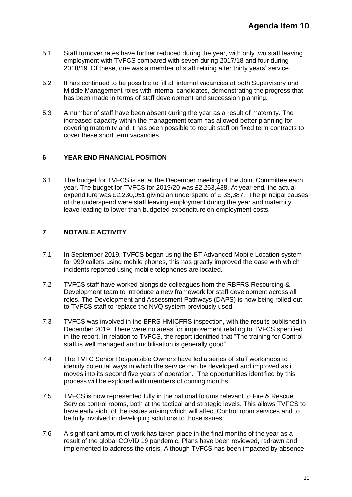- 5.1 Staff turnover rates have further reduced during the year, with only two staff leaving employment with TVFCS compared with seven during 2017/18 and four during 2018/19. Of these, one was a member of staff retiring after thirty years' service.
- 5.2 It has continued to be possible to fill all internal vacancies at both Supervisory and Middle Management roles with internal candidates, demonstrating the progress that has been made in terms of staff development and succession planning.
- 5.3 A number of staff have been absent during the year as a result of maternity. The increased capacity within the management team has allowed better planning for covering maternity and it has been possible to recruit staff on fixed term contracts to cover these short term vacancies.

#### **6 YEAR END FINANCIAL POSITION**

6.1 The budget for TVFCS is set at the December meeting of the Joint Committee each year. The budget for TVFCS for 2019/20 was £2,263,438. At year end, the actual expenditure was £2,230,051 giving an underspend of £ 33,387. The principal causes of the underspend were staff leaving employment during the year and maternity leave leading to lower than budgeted expenditure on employment costs.

#### **7 NOTABLE ACTIVITY**

- 7.1 In September 2019, TVFCS began using the BT Advanced Mobile Location system for 999 callers using mobile phones, this has greatly improved the ease with which incidents reported using mobile telephones are located.
- 7.2 TVFCS staff have worked alongside colleagues from the RBFRS Resourcing & Development team to introduce a new framework for staff development across all roles. The Development and Assessment Pathways (DAPS) is now being rolled out to TVFCS staff to replace the NVQ system previously used.
- 7.3 TVFCS was involved in the BFRS HMICFRS inspection, with the results published in December 2019. There were no areas for improvement relating to TVFCS specified in the report. In relation to TVFCS, the report identified that "The training for Control staff is well managed and mobilisation is generally good"
- 7.4 The TVFC Senior Responsible Owners have led a series of staff workshops to identify potential ways in which the service can be developed and improved as it moves into its second five years of operation. The opportunities identified by this process will be explored with members of coming months.
- 7.5 TVFCS is now represented fully in the national forums relevant to Fire & Rescue Service control rooms, both at the tactical and strategic levels. This allows TVFCS to have early sight of the issues arising which will affect Control room services and to be fully involved in developing solutions to those issues.
- 7.6 A significant amount of work has taken place in the final months of the year as a result of the global COVID 19 pandemic. Plans have been reviewed, redrawn and implemented to address the crisis. Although TVFCS has been impacted by absence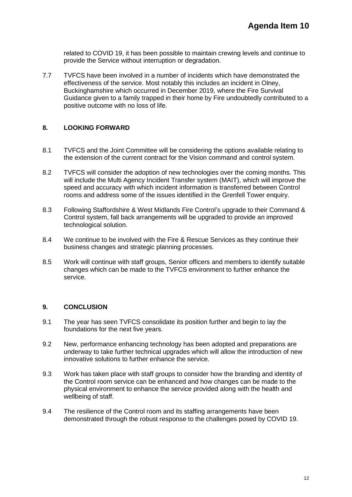related to COVID 19, it has been possible to maintain crewing levels and continue to provide the Service without interruption or degradation.

7.7 TVFCS have been involved in a number of incidents which have demonstrated the effectiveness of the service. Most notably this includes an incident in Olney, Buckinghamshire which occurred in December 2019, where the Fire Survival Guidance given to a family trapped in their home by Fire undoubtedly contributed to a positive outcome with no loss of life.

#### **8. LOOKING FORWARD**

- 8.1 TVFCS and the Joint Committee will be considering the options available relating to the extension of the current contract for the Vision command and control system.
- 8.2 TVFCS will consider the adoption of new technologies over the coming months. This will include the Multi Agency Incident Transfer system (MAIT), which will improve the speed and accuracy with which incident information is transferred between Control rooms and address some of the issues identified in the Grenfell Tower enquiry.
- 8.3 Following Staffordshire & West Midlands Fire Control's upgrade to their Command & Control system, fall back arrangements will be upgraded to provide an improved technological solution.
- 8.4 We continue to be involved with the Fire & Rescue Services as they continue their business changes and strategic planning processes.
- 8.5 Work will continue with staff groups, Senior officers and members to identify suitable changes which can be made to the TVFCS environment to further enhance the service.

#### **9. CONCLUSION**

- 9.1 The year has seen TVFCS consolidate its position further and begin to lay the foundations for the next five years.
- 9.2 New, performance enhancing technology has been adopted and preparations are underway to take further technical upgrades which will allow the introduction of new innovative solutions to further enhance the service.
- 9.3 Work has taken place with staff groups to consider how the branding and identity of the Control room service can be enhanced and how changes can be made to the physical environment to enhance the service provided along with the health and wellbeing of staff.
- 9.4 The resilience of the Control room and its staffing arrangements have been demonstrated through the robust response to the challenges posed by COVID 19.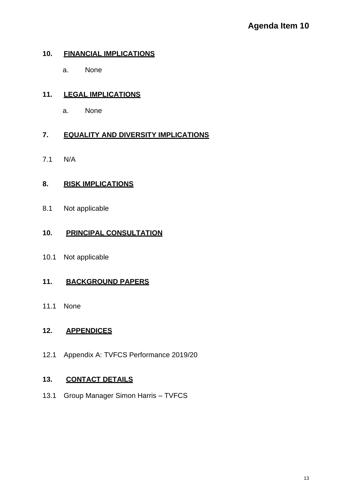# **10. FINANCIAL IMPLICATIONS**

a. None

# **11. LEGAL IMPLICATIONS**

a. None

## **7. EQUALITY AND DIVERSITY IMPLICATIONS**

7.1 N/A

## **8. RISK IMPLICATIONS**

8.1 Not applicable

## **10. PRINCIPAL CONSULTATION**

10.1 Not applicable

# **11. BACKGROUND PAPERS**

11.1 None

### **12. APPENDICES**

12.1 Appendix A: TVFCS Performance 2019/20

# **13. CONTACT DETAILS**

13.1 Group Manager Simon Harris – TVFCS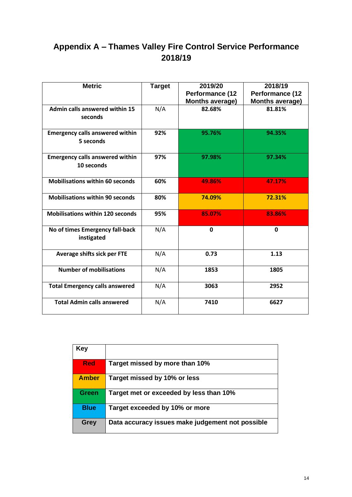# **Appendix A – Thames Valley Fire Control Service Performance 2018/19**

| <b>Metric</b>                                        | <b>Target</b> | 2019/20                | 2018/19                |
|------------------------------------------------------|---------------|------------------------|------------------------|
|                                                      |               | <b>Performance (12</b> | Performance (12        |
|                                                      |               | <b>Months average)</b> | <b>Months average)</b> |
| Admin calls answered within 15<br>seconds            | N/A           | 82.68%                 | 81.81%                 |
| <b>Emergency calls answered within</b><br>5 seconds  | 92%           | 95.76%                 | 94.35%                 |
| <b>Emergency calls answered within</b><br>10 seconds | 97%           | 97.98%                 | 97.34%                 |
| <b>Mobilisations within 60 seconds</b>               | 60%           | 49.86%                 | 47.17%                 |
| <b>Mobilisations within 90 seconds</b>               | 80%           | 74.09%                 | 72.31%                 |
| <b>Mobilisations within 120 seconds</b>              | 95%           | 85.07%                 | 83.86%                 |
| No of times Emergency fall-back<br>instigated        | N/A           | 0                      | $\mathbf{0}$           |
| Average shifts sick per FTE                          | N/A           | 0.73                   | 1.13                   |
| <b>Number of mobilisations</b>                       | N/A           | 1853                   | 1805                   |
| <b>Total Emergency calls answered</b>                | N/A           | 3063                   | 2952                   |
| <b>Total Admin calls answered</b>                    | N/A           | 7410                   | 6627                   |

| Key          |                                                  |
|--------------|--------------------------------------------------|
| <b>Red</b>   | Target missed by more than 10%                   |
| <b>Amber</b> | Target missed by 10% or less                     |
| <b>Green</b> | Target met or exceeded by less than 10%          |
| <b>Blue</b>  | Target exceeded by 10% or more                   |
| <b>Grey</b>  | Data accuracy issues make judgement not possible |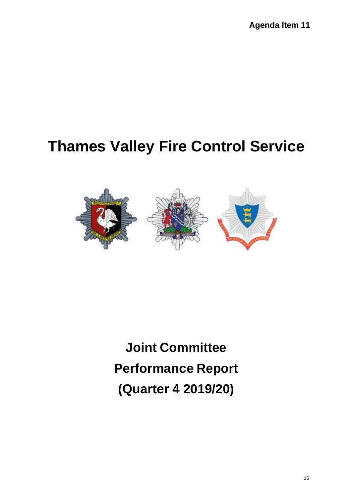# **Thames Valley Fire Control Service**



**Joint Committee Performance Report (Quarter 4 2019/20)**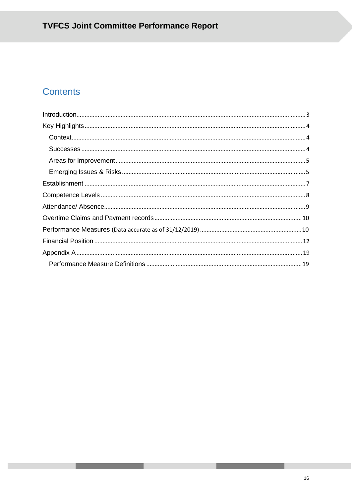# **Contents**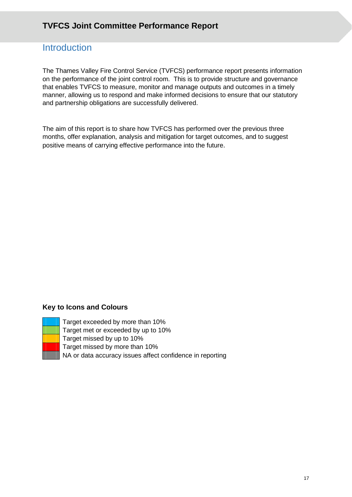# **Introduction**

The Thames Valley Fire Control Service (TVFCS) performance report presents information on the performance of the joint control room. This is to provide structure and governance that enables TVFCS to measure, monitor and manage outputs and outcomes in a timely manner, allowing us to respond and make informed decisions to ensure that our statutory and partnership obligations are successfully delivered.

The aim of this report is to share how TVFCS has performed over the previous three months, offer explanation, analysis and mitigation for target outcomes, and to suggest positive means of carrying effective performance into the future.

#### **Key to Icons and Colours**



Target exceeded by more than 10% Target met or exceeded by up to 10% Target missed by up to 10% Target missed by more than 10% NA or data accuracy issues affect confidence in reporting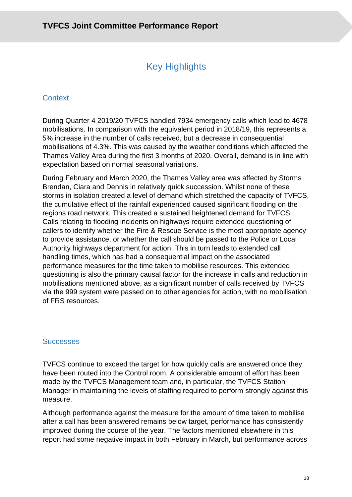# Key Highlights

# **Context**

During Quarter 4 2019/20 TVFCS handled 7934 emergency calls which lead to 4678 mobilisations. In comparison with the equivalent period in 2018/19, this represents a 5% increase in the number of calls received, but a decrease in consequential mobilisations of 4.3%. This was caused by the weather conditions which affected the Thames Valley Area during the first 3 months of 2020. Overall, demand is in line with expectation based on normal seasonal variations.

During February and March 2020, the Thames Valley area was affected by Storms Brendan, Ciara and Dennis in relatively quick succession. Whilst none of these storms in isolation created a level of demand which stretched the capacity of TVFCS, the cumulative effect of the rainfall experienced caused significant flooding on the regions road network. This created a sustained heightened demand for TVFCS. Calls relating to flooding incidents on highways require extended questioning of callers to identify whether the Fire & Rescue Service is the most appropriate agency to provide assistance, or whether the call should be passed to the Police or Local Authority highways department for action. This in turn leads to extended call handling times, which has had a consequential impact on the associated performance measures for the time taken to mobilise resources. This extended questioning is also the primary causal factor for the increase in calls and reduction in mobilisations mentioned above, as a significant number of calls received by TVFCS via the 999 system were passed on to other agencies for action, with no mobilisation of FRS resources.

### **Successes**

TVFCS continue to exceed the target for how quickly calls are answered once they have been routed into the Control room. A considerable amount of effort has been made by the TVFCS Management team and, in particular, the TVFCS Station Manager in maintaining the levels of staffing required to perform strongly against this measure.

Although performance against the measure for the amount of time taken to mobilise after a call has been answered remains below target, performance has consistently improved during the course of the year. The factors mentioned elsewhere in this report had some negative impact in both February in March, but performance across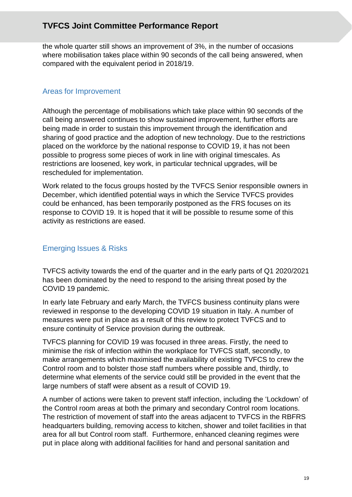the whole quarter still shows an improvement of 3%, in the number of occasions where mobilisation takes place within 90 seconds of the call being answered, when compared with the equivalent period in 2018/19.

### Areas for Improvement

Although the percentage of mobilisations which take place within 90 seconds of the call being answered continues to show sustained improvement, further efforts are being made in order to sustain this improvement through the identification and sharing of good practice and the adoption of new technology. Due to the restrictions placed on the workforce by the national response to COVID 19, it has not been possible to progress some pieces of work in line with original timescales. As restrictions are loosened, key work, in particular technical upgrades, will be rescheduled for implementation.

Work related to the focus groups hosted by the TVFCS Senior responsible owners in December, which identified potential ways in which the Service TVFCS provides could be enhanced, has been temporarily postponed as the FRS focuses on its response to COVID 19. It is hoped that it will be possible to resume some of this activity as restrictions are eased.

# Emerging Issues & Risks

TVFCS activity towards the end of the quarter and in the early parts of Q1 2020/2021 has been dominated by the need to respond to the arising threat posed by the COVID 19 pandemic.

In early late February and early March, the TVFCS business continuity plans were reviewed in response to the developing COVID 19 situation in Italy. A number of measures were put in place as a result of this review to protect TVFCS and to ensure continuity of Service provision during the outbreak.

TVFCS planning for COVID 19 was focused in three areas. Firstly, the need to minimise the risk of infection within the workplace for TVFCS staff, secondly, to make arrangements which maximised the availability of existing TVFCS to crew the Control room and to bolster those staff numbers where possible and, thirdly, to determine what elements of the service could still be provided in the event that the large numbers of staff were absent as a result of COVID 19.

A number of actions were taken to prevent staff infection, including the 'Lockdown' of the Control room areas at both the primary and secondary Control room locations. The restriction of movement of staff into the areas adjacent to TVFCS in the RBFRS headquarters building, removing access to kitchen, shower and toilet facilities in that area for all but Control room staff. Furthermore, enhanced cleaning regimes were put in place along with additional facilities for hand and personal sanitation and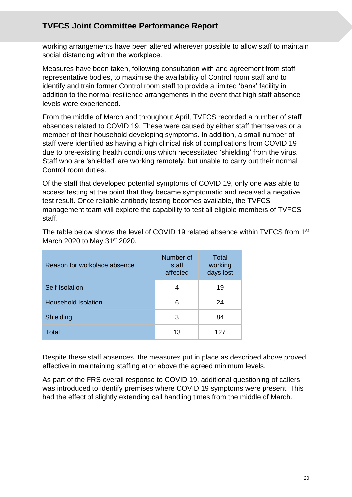working arrangements have been altered wherever possible to allow staff to maintain social distancing within the workplace.

Measures have been taken, following consultation with and agreement from staff representative bodies, to maximise the availability of Control room staff and to identify and train former Control room staff to provide a limited 'bank' facility in addition to the normal resilience arrangements in the event that high staff absence levels were experienced.

From the middle of March and throughout April, TVFCS recorded a number of staff absences related to COVID 19. These were caused by either staff themselves or a member of their household developing symptoms. In addition, a small number of staff were identified as having a high clinical risk of complications from COVID 19 due to pre-existing health conditions which necessitated 'shielding' from the virus. Staff who are 'shielded' are working remotely, but unable to carry out their normal Control room duties.

Of the staff that developed potential symptoms of COVID 19, only one was able to access testing at the point that they became symptomatic and received a negative test result. Once reliable antibody testing becomes available, the TVFCS management team will explore the capability to test all eligible members of TVFCS staff.

| Reason for workplace absence | Number of<br>staff<br>affected | Total<br>working<br>days lost |
|------------------------------|--------------------------------|-------------------------------|
| Self-Isolation               | 4                              | 19                            |
| <b>Household Isolation</b>   | 6                              | 24                            |
| Shielding                    | 3                              | 84                            |
| Total                        | 13                             | 127                           |

The table below shows the level of COVID 19 related absence within TVFCS from 1st March 2020 to May 31<sup>st</sup> 2020.

Despite these staff absences, the measures put in place as described above proved effective in maintaining staffing at or above the agreed minimum levels.

As part of the FRS overall response to COVID 19, additional questioning of callers was introduced to identify premises where COVID 19 symptoms were present. This had the effect of slightly extending call handling times from the middle of March.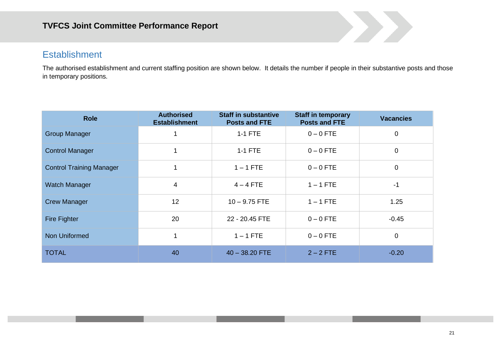# **Establishment**

The authorised establishment and current staffing position are shown below. It details the number if people in their substantive posts and those in temporary positions.

| <b>Role</b>                     | <b>Authorised</b><br><b>Establishment</b> | <b>Staff in substantive</b><br><b>Posts and FTE</b> | <b>Staff in temporary</b><br><b>Posts and FTE</b> | <b>Vacancies</b> |
|---------------------------------|-------------------------------------------|-----------------------------------------------------|---------------------------------------------------|------------------|
| <b>Group Manager</b>            |                                           | $1-1$ FTE                                           | $0 - 0$ FTE                                       | $\mathbf 0$      |
| <b>Control Manager</b>          | 1                                         | $1-1$ FTE                                           | $0 - 0$ FTE                                       | $\mathbf 0$      |
| <b>Control Training Manager</b> |                                           | $1 - 1$ FTE                                         | $0 - 0$ FTE                                       | $\mathbf 0$      |
| Watch Manager                   | 4                                         | $4 - 4$ FTE                                         | $1 - 1$ FTE                                       | $-1$             |
| <b>Crew Manager</b>             | 12                                        | $10 - 9.75$ FTE                                     | $1 - 1$ FTE                                       | 1.25             |
| <b>Fire Fighter</b>             | 20                                        | 22 - 20.45 FTE                                      | $0 - 0$ FTE                                       | $-0.45$          |
| Non Uniformed                   |                                           | $1 - 1$ FTE                                         | $0 - 0$ FTE                                       | $\mathbf 0$      |
| <b>TOTAL</b>                    | 40                                        | $40 - 38.20$ FTE                                    | $2 - 2$ FTE                                       | $-0.20$          |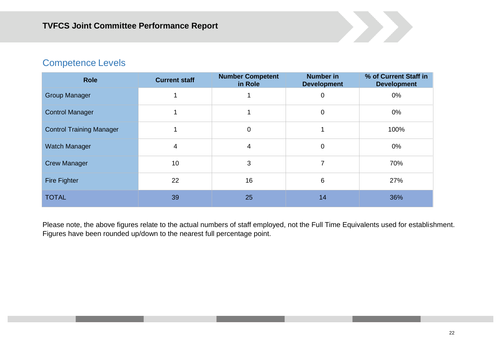# Competence Levels

| <b>Role</b>                     | <b>Current staff</b> | <b>Number Competent</b><br>in Role | <b>Number in</b><br><b>Development</b> | % of Current Staff in<br><b>Development</b> |
|---------------------------------|----------------------|------------------------------------|----------------------------------------|---------------------------------------------|
| <b>Group Manager</b>            |                      |                                    | 0                                      | 0%                                          |
| <b>Control Manager</b>          |                      |                                    | $\mathbf 0$                            | 0%                                          |
| <b>Control Training Manager</b> |                      | $\mathbf 0$                        |                                        | 100%                                        |
| <b>Watch Manager</b>            | 4                    | 4                                  | $\mathbf 0$                            | 0%                                          |
| <b>Crew Manager</b>             | 10                   | 3                                  | 7                                      | 70%                                         |
| <b>Fire Fighter</b>             | 22                   | 16                                 | 6                                      | 27%                                         |
| <b>TOTAL</b>                    | 39                   | 25                                 | 14                                     | 36%                                         |

Please note, the above figures relate to the actual numbers of staff employed, not the Full Time Equivalents used for establishment. Figures have been rounded up/down to the nearest full percentage point.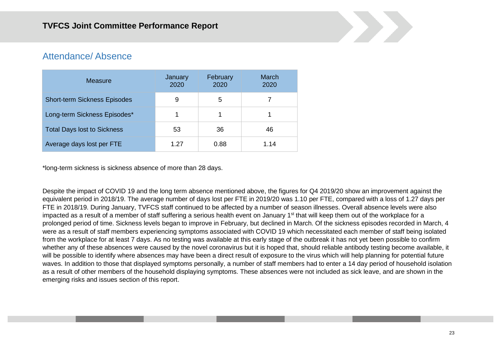# Attendance/ Absence

| Measure                             | January<br>2020 | February<br>2020 | March<br>2020 |
|-------------------------------------|-----------------|------------------|---------------|
| <b>Short-term Sickness Episodes</b> | 9               | 5                |               |
| Long-term Sickness Episodes*        |                 |                  |               |
| <b>Total Days lost to Sickness</b>  | 53              | 36               | 46            |
| Average days lost per FTE           | 1.27            | 0.88             | 1.14          |

\*long-term sickness is sickness absence of more than 28 days.

Despite the impact of COVID 19 and the long term absence mentioned above, the figures for Q4 2019/20 show an improvement against the equivalent period in 2018/19. The average number of days lost per FTE in 2019/20 was 1.10 per FTE, compared with a loss of 1.27 days per FTE in 2018/19. During January, TVFCS staff continued to be affected by a number of season illnesses. Overall absence levels were also impacted as a result of a member of staff suffering a serious health event on January 1<sup>st</sup> that will keep them out of the workplace for a prolonged period of time. Sickness levels began to improve in February, but declined in March. Of the sickness episodes recorded in March, 4 were as a result of staff members experiencing symptoms associated with COVID 19 which necessitated each member of staff being isolated from the workplace for at least 7 days. As no testing was available at this early stage of the outbreak it has not yet been possible to confirm whether any of these absences were caused by the novel coronavirus but it is hoped that, should reliable antibody testing become available, it will be possible to identify where absences may have been a direct result of exposure to the virus which will help planning for potential future waves. In addition to those that displayed symptoms personally, a number of staff members had to enter a 14 day period of household isolation as a result of other members of the household displaying symptoms. These absences were not included as sick leave, and are shown in the emerging risks and issues section of this report.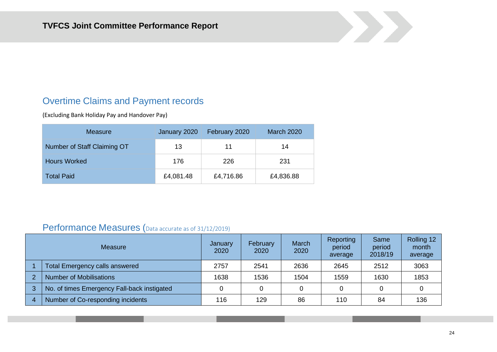# Overtime Claims and Payment records

(Excluding Bank Holiday Pay and Handover Pay)

| Measure                     | January 2020 | February 2020 | <b>March 2020</b> |
|-----------------------------|--------------|---------------|-------------------|
| Number of Staff Claiming OT | 13           | 11            | 14                |
| <b>Hours Worked</b>         | 176          | 226           | 231               |
| <b>Total Paid</b>           | £4,081.48    | £4,716.86     | £4,836.88         |

# Performance Measures (Data accurate as of 31/12/2019)

| <b>Measure</b> |                                             | January<br>2020 | February<br>2020 | March<br>2020 | Reporting<br>period<br>average | Same<br>period<br>2018/19 | Rolling 12<br>month<br>average |
|----------------|---------------------------------------------|-----------------|------------------|---------------|--------------------------------|---------------------------|--------------------------------|
|                | <b>Total Emergency calls answered</b>       | 2757            | 2541             | 2636          | 2645                           | 2512                      | 3063                           |
| $\mathcal{P}$  | <b>Number of Mobilisations</b>              | 1638            | 1536             | 1504          | 1559                           | 1630                      | 1853                           |
| 3              | No. of times Emergency Fall-back instigated |                 |                  |               |                                | 0                         |                                |
| 4              | Number of Co-responding incidents           | 116             | 129              | 86            | 110                            | 84                        | 136                            |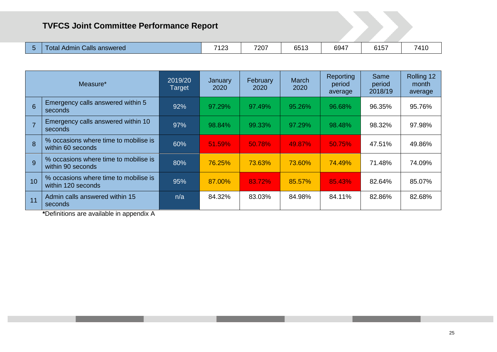| 7207<br>7100<br>6947<br>7110<br>6513<br>6157<br>Calls<br>Admir<br>answered<br>otal<br>74<br>ں ے ا<br>. . |
|----------------------------------------------------------------------------------------------------------|
|----------------------------------------------------------------------------------------------------------|

| Measure*       |                                                             | 2019/20<br>Target | January<br>2020 | February<br>2020 | March<br>2020 | Reporting<br>period<br>average | Same<br>period<br>2018/19 | Rolling 12<br>month<br>average |
|----------------|-------------------------------------------------------------|-------------------|-----------------|------------------|---------------|--------------------------------|---------------------------|--------------------------------|
| 6              | Emergency calls answered within 5<br>seconds                | 92%               | 97.29%          | 97.49%           | 95.26%        | 96.68%                         | 96.35%                    | 95.76%                         |
| $\overline{7}$ | Emergency calls answered within 10<br>seconds               | 97%               | 98.84%          | 99.33%           | 97.29%        | 98.48%                         | 98.32%                    | 97.98%                         |
| 8              | % occasions where time to mobilise is<br>within 60 seconds  | 60%               | 51.59%          | 50.78%           | 49.87%        | 50.75%                         | 47.51%                    | 49.86%                         |
| 9              | % occasions where time to mobilise is<br>within 90 seconds  | 80%               | 76.25%          | 73.63%           | 73.60%        | 74.49%                         | 71.48%                    | 74.09%                         |
| 10             | % occasions where time to mobilise is<br>within 120 seconds | 95%               | 87.00%          | 83.72%           | 85.57%        | 85.43%                         | 82.64%                    | 85.07%                         |
| 11             | Admin calls answered within 15<br>seconds                   | n/a               | 84.32%          | 83.03%           | 84.98%        | 84.11%                         | 82.86%                    | 82.68%                         |

**\***Definitions are available in appendix A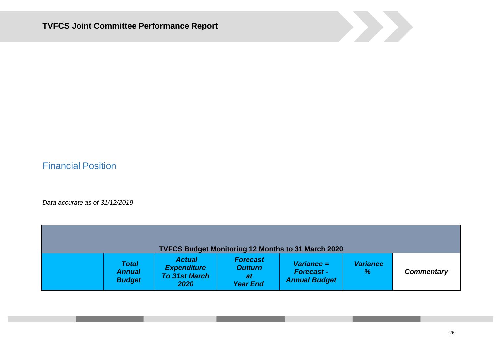

# Financial Position

*Data accurate as of 31/12/2019*

| <b>TVFCS Budget Monitoring 12 Months to 31 March 2020</b> |                                                |                                                                     |                                                            |                                                          |                         |                   |  |  |  |
|-----------------------------------------------------------|------------------------------------------------|---------------------------------------------------------------------|------------------------------------------------------------|----------------------------------------------------------|-------------------------|-------------------|--|--|--|
|                                                           | <b>Total</b><br><b>Annual</b><br><b>Budget</b> | <b>Actual</b><br><b>Expenditure</b><br><b>To 31st March</b><br>2020 | <b>Forecast</b><br><b>Outturn</b><br>at<br><b>Year End</b> | $Variance =$<br><b>Forecast-</b><br><b>Annual Budget</b> | <b>Variance</b><br>$\%$ | <b>Commentary</b> |  |  |  |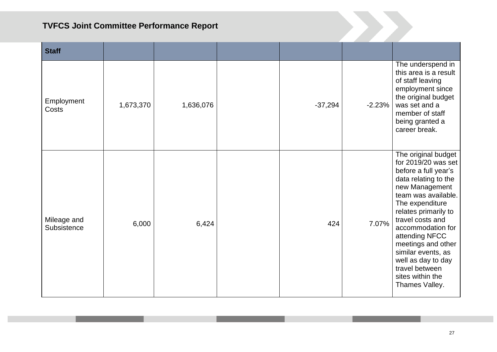| <b>Staff</b>               |           |           |           |          |                                                                                                                                                                                                                                                                                                                                                                     |
|----------------------------|-----------|-----------|-----------|----------|---------------------------------------------------------------------------------------------------------------------------------------------------------------------------------------------------------------------------------------------------------------------------------------------------------------------------------------------------------------------|
| Employment<br><b>Costs</b> | 1,673,370 | 1,636,076 | $-37,294$ | $-2.23%$ | The underspend in<br>this area is a result<br>of staff leaving<br>employment since<br>the original budget<br>was set and a<br>member of staff<br>being granted a<br>career break.                                                                                                                                                                                   |
| Mileage and<br>Subsistence | 6,000     | 6,424     | 424       | 7.07%    | The original budget<br>for 2019/20 was set<br>before a full year's<br>data relating to the<br>new Management<br>team was available.<br>The expenditure<br>relates primarily to<br>travel costs and<br>accommodation for<br>attending NFCC<br>meetings and other<br>similar events, as<br>well as day to day<br>travel between<br>sites within the<br>Thames Valley. |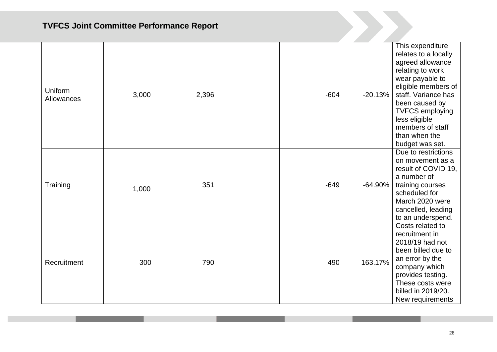| Uniform<br>Allowances | 3,000 | 2,396 | $-604$ | $-20.13%$ | This expenditure<br>relates to a locally<br>agreed allowance<br>relating to work<br>wear payable to<br>eligible members of<br>staff. Variance has<br>been caused by<br><b>TVFCS employing</b><br>less eligible<br>members of staff<br>than when the<br>budget was set. |
|-----------------------|-------|-------|--------|-----------|------------------------------------------------------------------------------------------------------------------------------------------------------------------------------------------------------------------------------------------------------------------------|
| Training              | 1,000 | 351   | $-649$ | $-64.90%$ | Due to restrictions<br>on movement as a<br>result of COVID 19,<br>a number of<br>training courses<br>scheduled for<br>March 2020 were<br>cancelled, leading<br>to an underspend.                                                                                       |
| Recruitment           | 300   | 790   | 490    | 163.17%   | Costs related to<br>recruitment in<br>2018/19 had not<br>been billed due to<br>an error by the<br>company which<br>provides testing.<br>These costs were<br>billed in 2019/20.<br>New requirements                                                                     |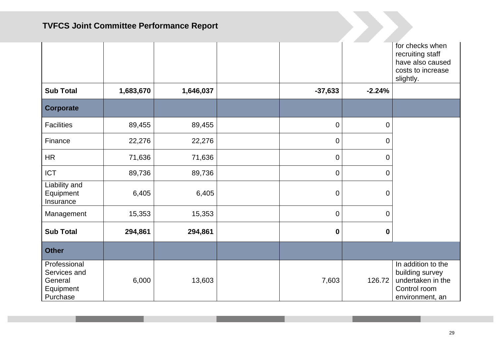|                                                                  |           |           |             |                | for checks when<br>recruiting staff<br>have also caused<br>costs to increase<br>slightly.     |
|------------------------------------------------------------------|-----------|-----------|-------------|----------------|-----------------------------------------------------------------------------------------------|
| <b>Sub Total</b>                                                 | 1,683,670 | 1,646,037 | $-37,633$   | $-2.24%$       |                                                                                               |
| <b>Corporate</b>                                                 |           |           |             |                |                                                                                               |
| <b>Facilities</b>                                                | 89,455    | 89,455    | $\mathbf 0$ | $\overline{0}$ |                                                                                               |
| Finance                                                          | 22,276    | 22,276    | $\mathbf 0$ | $\mathbf 0$    |                                                                                               |
| <b>HR</b>                                                        | 71,636    | 71,636    | 0           | 0              |                                                                                               |
| <b>ICT</b>                                                       | 89,736    | 89,736    | $\mathbf 0$ | 0              |                                                                                               |
| Liability and<br>Equipment<br>Insurance                          | 6,405     | 6,405     | $\mathbf 0$ | $\mathbf 0$    |                                                                                               |
| Management                                                       | 15,353    | 15,353    | $\mathbf 0$ | 0              |                                                                                               |
| <b>Sub Total</b>                                                 | 294,861   | 294,861   | 0           | $\mathbf 0$    |                                                                                               |
| <b>Other</b>                                                     |           |           |             |                |                                                                                               |
| Professional<br>Services and<br>General<br>Equipment<br>Purchase | 6,000     | 13,603    | 7,603       | 126.72         | In addition to the<br>building survey<br>undertaken in the<br>Control room<br>environment, an |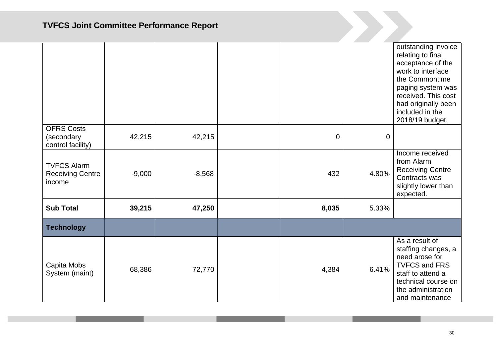|                                                         |          |          |                |             | outstanding invoice<br>relating to final<br>acceptance of the<br>work to interface<br>the Commontime<br>paging system was<br>received. This cost<br>had originally been<br>included in the<br>2018/19 budget. |
|---------------------------------------------------------|----------|----------|----------------|-------------|---------------------------------------------------------------------------------------------------------------------------------------------------------------------------------------------------------------|
| <b>OFRS Costs</b><br>(secondary<br>control facility)    | 42,215   | 42,215   | $\overline{0}$ | $\mathbf 0$ |                                                                                                                                                                                                               |
| <b>TVFCS Alarm</b><br><b>Receiving Centre</b><br>income | $-9,000$ | $-8,568$ | 432            | 4.80%       | Income received<br>from Alarm<br><b>Receiving Centre</b><br>Contracts was<br>slightly lower than<br>expected.                                                                                                 |
| <b>Sub Total</b>                                        | 39,215   | 47,250   | 8,035          | 5.33%       |                                                                                                                                                                                                               |
| <b>Technology</b>                                       |          |          |                |             |                                                                                                                                                                                                               |
| Capita Mobs<br>System (maint)                           | 68,386   | 72,770   | 4,384          | 6.41%       | As a result of<br>staffing changes, a<br>need arose for<br><b>TVFCS and FRS</b><br>staff to attend a<br>technical course on<br>the administration<br>and maintenance                                          |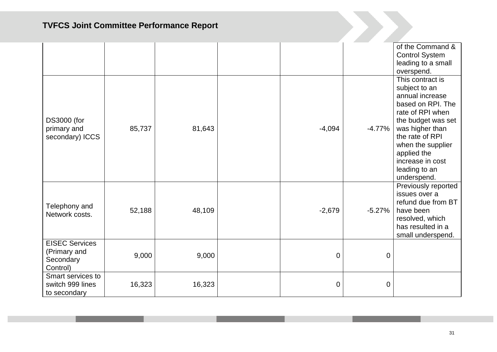|                                                                |        |        |          |          | of the Command &<br><b>Control System</b><br>leading to a small<br>overspend.                                                                                                                                                                     |
|----------------------------------------------------------------|--------|--------|----------|----------|---------------------------------------------------------------------------------------------------------------------------------------------------------------------------------------------------------------------------------------------------|
| <b>DS3000 (for</b><br>primary and<br>secondary) ICCS           | 85,737 | 81,643 | $-4,094$ | $-4.77%$ | This contract is<br>subject to an<br>annual increase<br>based on RPI. The<br>rate of RPI when<br>the budget was set<br>was higher than<br>the rate of RPI<br>when the supplier<br>applied the<br>increase in cost<br>leading to an<br>underspend. |
| Telephony and<br>Network costs.                                | 52,188 | 48,109 | $-2,679$ | $-5.27%$ | Previously reported<br>issues over a<br>refund due from BT<br>have been<br>resolved, which<br>has resulted in a<br>small underspend.                                                                                                              |
| <b>EISEC Services</b><br>(Primary and<br>Secondary<br>Control) | 9,000  | 9,000  | 0        | 0        |                                                                                                                                                                                                                                                   |
| Smart services to<br>switch 999 lines<br>to secondary          | 16,323 | 16,323 | 0        | 0        |                                                                                                                                                                                                                                                   |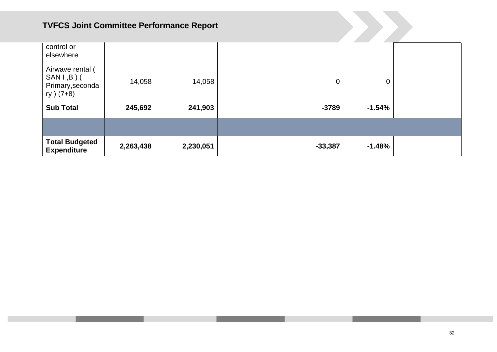| control or<br>elsewhere                                            |           |           |           |          |  |
|--------------------------------------------------------------------|-----------|-----------|-----------|----------|--|
| Airwave rental (<br>$SANI, B)$ (<br>Primary, seconda<br>ry $(7+8)$ | 14,058    | 14,058    | 0         | 0        |  |
| <b>Sub Total</b>                                                   | 245,692   | 241,903   | $-3789$   | $-1.54%$ |  |
|                                                                    |           |           |           |          |  |
| <b>Total Budgeted</b><br><b>Expenditure</b>                        | 2,263,438 | 2,230,051 | $-33,387$ | $-1.48%$ |  |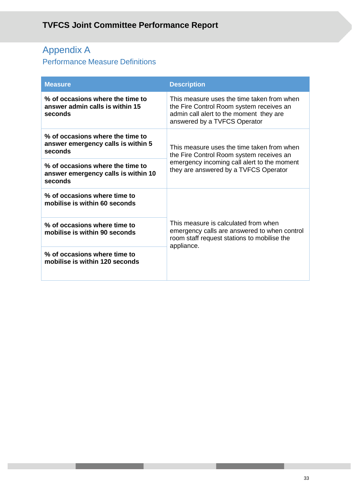# Appendix A

# Performance Measure Definitions

| <b>Measure</b>                                                                     | <b>Description</b>                                                                                                                                                |
|------------------------------------------------------------------------------------|-------------------------------------------------------------------------------------------------------------------------------------------------------------------|
| % of occasions where the time to<br>answer admin calls is within 15<br>seconds     | This measure uses the time taken from when<br>the Fire Control Room system receives an<br>admin call alert to the moment they are<br>answered by a TVFCS Operator |
| % of occasions where the time to<br>answer emergency calls is within 5<br>seconds  | This measure uses the time taken from when<br>the Fire Control Room system receives an                                                                            |
| % of occasions where the time to<br>answer emergency calls is within 10<br>seconds | emergency incoming call alert to the moment<br>they are answered by a TVFCS Operator                                                                              |
| % of occasions where time to<br>mobilise is within 60 seconds                      |                                                                                                                                                                   |
| % of occasions where time to<br>mobilise is within 90 seconds                      | This measure is calculated from when<br>emergency calls are answered to when control<br>room staff request stations to mobilise the<br>appliance.                 |
| % of occasions where time to<br>mobilise is within 120 seconds                     |                                                                                                                                                                   |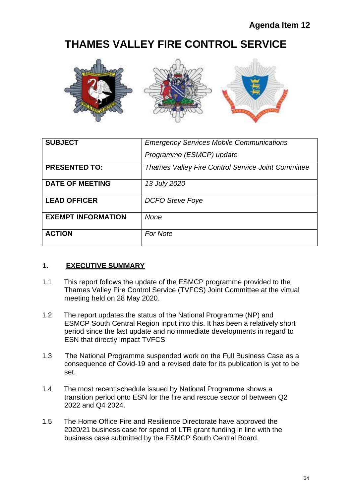# **THAMES VALLEY FIRE CONTROL SERVICE**



| <b>SUBJECT</b>            | <b>Emergency Services Mobile Communications</b>           |
|---------------------------|-----------------------------------------------------------|
|                           | Programme (ESMCP) update                                  |
| <b>PRESENTED TO:</b>      | <b>Thames Valley Fire Control Service Joint Committee</b> |
| <b>DATE OF MEETING</b>    | 13 July 2020                                              |
| <b>LEAD OFFICER</b>       | <b>DCFO Steve Foye</b>                                    |
| <b>EXEMPT INFORMATION</b> | <b>None</b>                                               |
| <b>ACTION</b>             | <b>For Note</b>                                           |

### **1. EXECUTIVE SUMMARY**

- 1.1 This report follows the update of the ESMCP programme provided to the Thames Valley Fire Control Service (TVFCS) Joint Committee at the virtual meeting held on 28 May 2020.
- 1.2 The report updates the status of the National Programme (NP) and ESMCP South Central Region input into this. It has been a relatively short period since the last update and no immediate developments in regard to ESN that directly impact TVFCS
- 1.3 The National Programme suspended work on the Full Business Case as a consequence of Covid-19 and a revised date for its publication is yet to be set.
- 1.4 The most recent schedule issued by National Programme shows a transition period onto ESN for the fire and rescue sector of between Q2 2022 and Q4 2024.
- 1.5 The Home Office Fire and Resilience Directorate have approved the 2020/21 business case for spend of LTR grant funding in line with the business case submitted by the ESMCP South Central Board.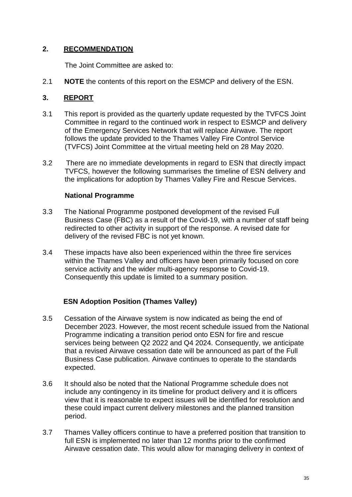## **2. RECOMMENDATION**

The Joint Committee are asked to:

2.1 **NOTE** the contents of this report on the ESMCP and delivery of the ESN.

## **3. REPORT**

- 3.1 This report is provided as the quarterly update requested by the TVFCS Joint Committee in regard to the continued work in respect to ESMCP and delivery of the Emergency Services Network that will replace Airwave. The report follows the update provided to the Thames Valley Fire Control Service (TVFCS) Joint Committee at the virtual meeting held on 28 May 2020.
- 3.2 There are no immediate developments in regard to ESN that directly impact TVFCS, however the following summarises the timeline of ESN delivery and the implications for adoption by Thames Valley Fire and Rescue Services.

### **National Programme**

- 3.3 The National Programme postponed development of the revised Full Business Case (FBC) as a result of the Covid-19, with a number of staff being redirected to other activity in support of the response. A revised date for delivery of the revised FBC is not yet known.
- 3.4 These impacts have also been experienced within the three fire services within the Thames Valley and officers have been primarily focused on core service activity and the wider multi-agency response to Covid-19. Consequently this update is limited to a summary position.

### **ESN Adoption Position (Thames Valley)**

- 3.5 Cessation of the Airwave system is now indicated as being the end of December 2023. However, the most recent schedule issued from the National Programme indicating a transition period onto ESN for fire and rescue services being between Q2 2022 and Q4 2024. Consequently, we anticipate that a revised Airwave cessation date will be announced as part of the Full Business Case publication. Airwave continues to operate to the standards expected.
- 3.6 It should also be noted that the National Programme schedule does not include any contingency in its timeline for product delivery and it is officers view that it is reasonable to expect issues will be identified for resolution and these could impact current delivery milestones and the planned transition period.
- 3.7 Thames Valley officers continue to have a preferred position that transition to full ESN is implemented no later than 12 months prior to the confirmed Airwave cessation date. This would allow for managing delivery in context of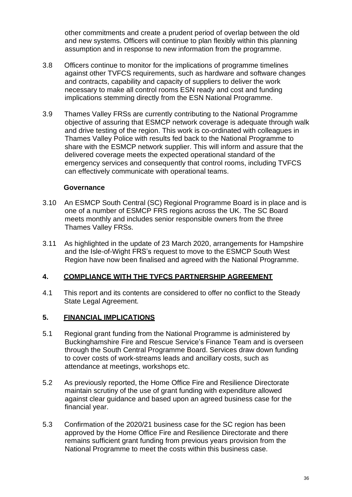other commitments and create a prudent period of overlap between the old and new systems. Officers will continue to plan flexibly within this planning assumption and in response to new information from the programme.

- 3.8 Officers continue to monitor for the implications of programme timelines against other TVFCS requirements, such as hardware and software changes and contracts, capability and capacity of suppliers to deliver the work necessary to make all control rooms ESN ready and cost and funding implications stemming directly from the ESN National Programme.
- 3.9 Thames Valley FRSs are currently contributing to the National Programme objective of assuring that ESMCP network coverage is adequate through walk and drive testing of the region. This work is co-ordinated with colleagues in Thames Valley Police with results fed back to the National Programme to share with the ESMCP network supplier. This will inform and assure that the delivered coverage meets the expected operational standard of the emergency services and consequently that control rooms, including TVFCS can effectively communicate with operational teams.

#### **Governance**

- 3.10 An ESMCP South Central (SC) Regional Programme Board is in place and is one of a number of ESMCP FRS regions across the UK. The SC Board meets monthly and includes senior responsible owners from the three Thames Valley FRSs.
- 3.11 As highlighted in the update of 23 March 2020, arrangements for Hampshire and the Isle-of-Wight FRS's request to move to the ESMCP South West Region have now been finalised and agreed with the National Programme.

### **4. COMPLIANCE WITH THE TVFCS PARTNERSHIP AGREEMENT**

4.1 This report and its contents are considered to offer no conflict to the Steady State Legal Agreement.

### **5. FINANCIAL IMPLICATIONS**

- 5.1 Regional grant funding from the National Programme is administered by Buckinghamshire Fire and Rescue Service's Finance Team and is overseen through the South Central Programme Board. Services draw down funding to cover costs of work-streams leads and ancillary costs, such as attendance at meetings, workshops etc.
- 5.2 As previously reported, the Home Office Fire and Resilience Directorate maintain scrutiny of the use of grant funding with expenditure allowed against clear guidance and based upon an agreed business case for the financial year.
- 5.3 Confirmation of the 2020/21 business case for the SC region has been approved by the Home Office Fire and Resilience Directorate and there remains sufficient grant funding from previous years provision from the National Programme to meet the costs within this business case.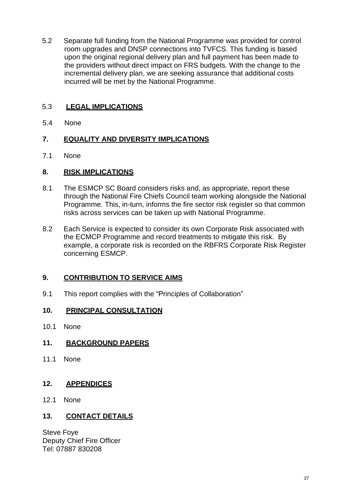5.2 Separate full funding from the National Programme was provided for control room upgrades and DNSP connections into TVFCS. This funding is based upon the original regional delivery plan and full payment has been made to the providers without direct impact on FRS budgets. With the change to the incremental delivery plan, we are seeking assurance that additional costs incurred will be met by the National Programme.

# 5.3 **LEGAL IMPLICATIONS**

5.4 None

### **7. EQUALITY AND DIVERSITY IMPLICATIONS**

7.1 None

#### **8. RISK IMPLICATIONS**

- 8.1 The ESMCP SC Board considers risks and, as appropriate, report these through the National Fire Chiefs Council team working alongside the National Programme. This, in-turn, informs the fire sector risk register so that common risks across services can be taken up with National Programme.
- 8.2 Each Service is expected to consider its own Corporate Risk associated with the ECMCP Programme and record treatments to mitigate this risk. By example, a corporate risk is recorded on the RBFRS Corporate Risk Register concerning ESMCP.

### **9. CONTRIBUTION TO SERVICE AIMS**

9.1 This report complies with the "Principles of Collaboration"

#### **10. PRINCIPAL CONSULTATION**

10.1 None

#### **11. BACKGROUND PAPERS**

11.1 None

#### **12. APPENDICES**

12.1 None

### **13. CONTACT DETAILS**

Steve Foye Deputy Chief Fire Officer Tel: 07887 830208